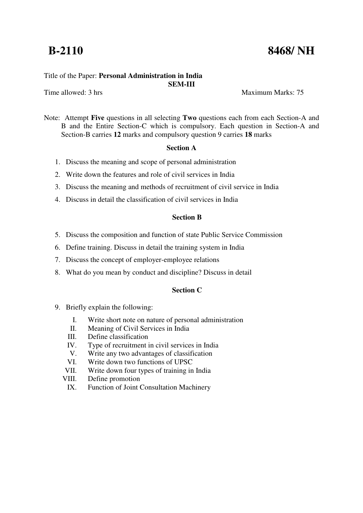# **B-2110** 8468/ NH

# Title of the Paper: **Personal Administration in India**

Time allowed: 3 hrs Maximum Marks: 75

Note: Attempt **Five** questions in all selecting **Two** questions each from each Section-A and B and the Entire Section-C which is compulsory. Each question in Section-A and Section-B carries **12** marks and compulsory question 9 carries **18** marks

**SEM-III** 

#### **Section A**

- 1. Discuss the meaning and scope of personal administration
- 2. Write down the features and role of civil services in India
- 3. Discuss the meaning and methods of recruitment of civil service in India
- 4. Discuss in detail the classification of civil services in India

# **Section B**

- 5. Discuss the composition and function of state Public Service Commission
- 6. Define training. Discuss in detail the training system in India
- 7. Discuss the concept of employer-employee relations
- 8. What do you mean by conduct and discipline? Discuss in detail

## **Section C**

- 9. Briefly explain the following:
	- I. Write short note on nature of personal administration
	- II. Meaning of Civil Services in India
	- III. Define classification
	- IV. Type of recruitment in civil services in India
	- V. Write any two advantages of classification
	- VI. Write down two functions of UPSC
	- VII. Write down four types of training in India
	- VIII. Define promotion
	- IX. Function of Joint Consultation Machinery